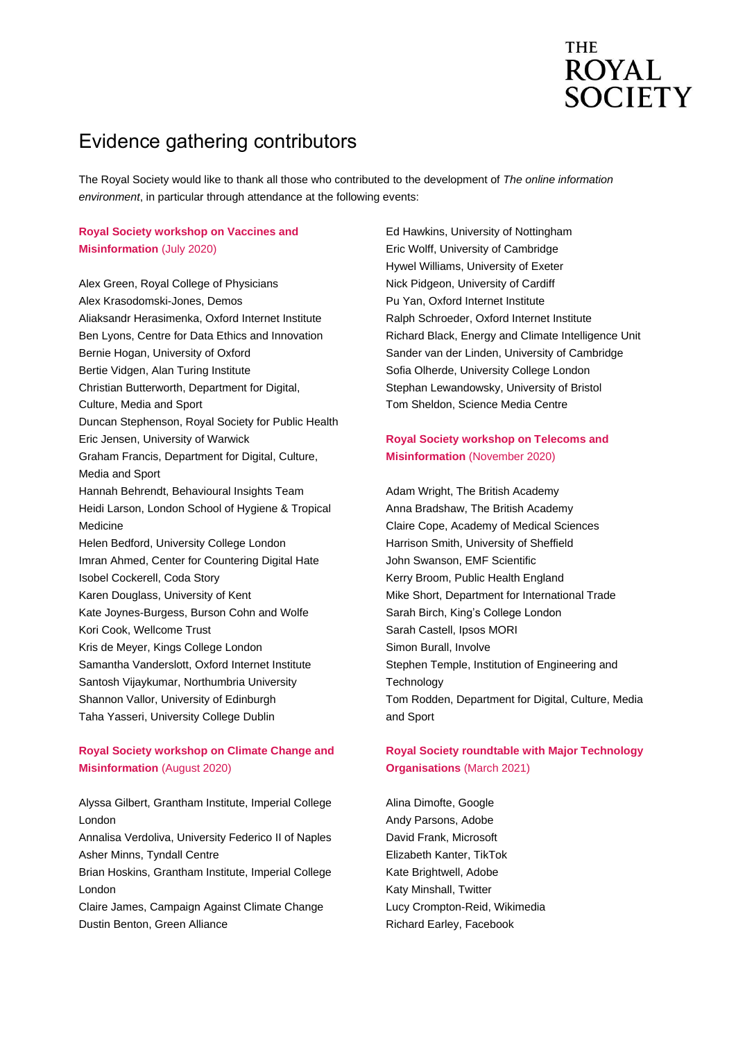# **THE ROYAL SOCIETY**

## Evidence gathering contributors

The Royal Society would like to thank all those who contributed to the development of *The online information environment*, in particular through attendance at the following events:

#### **Royal Society workshop on Vaccines and Misinformation** (July 2020)

Alex Green, Royal College of Physicians Alex Krasodomski-Jones, Demos Aliaksandr Herasimenka, Oxford Internet Institute Ben Lyons, Centre for Data Ethics and Innovation Bernie Hogan, University of Oxford Bertie Vidgen, Alan Turing Institute Christian Butterworth, Department for Digital, Culture, Media and Sport Duncan Stephenson, Royal Society for Public Health Eric Jensen, University of Warwick Graham Francis, Department for Digital, Culture, Media and Sport Hannah Behrendt, Behavioural Insights Team Heidi Larson, London School of Hygiene & Tropical Medicine Helen Bedford, University College London Imran Ahmed, Center for Countering Digital Hate Isobel Cockerell, Coda Story Karen Douglass, University of Kent Kate Joynes-Burgess, Burson Cohn and Wolfe Kori Cook, Wellcome Trust Kris de Meyer, Kings College London Samantha Vanderslott, Oxford Internet Institute Santosh Vijaykumar, Northumbria University Shannon Vallor, University of Edinburgh Taha Yasseri, University College Dublin

#### **Royal Society workshop on Climate Change and Misinformation** (August 2020)

Alyssa Gilbert, Grantham Institute, Imperial College London

Annalisa Verdoliva, University Federico II of Naples Asher Minns, Tyndall Centre

Brian Hoskins, Grantham Institute, Imperial College London

Claire James, Campaign Against Climate Change Dustin Benton, Green Alliance

Ed Hawkins, University of Nottingham Eric Wolff, University of Cambridge Hywel Williams, University of Exeter Nick Pidgeon, University of Cardiff Pu Yan, Oxford Internet Institute Ralph Schroeder, Oxford Internet Institute Richard Black, Energy and Climate Intelligence Unit Sander van der Linden, University of Cambridge Sofia Olherde, University College London Stephan Lewandowsky, University of Bristol Tom Sheldon, Science Media Centre

#### **Royal Society workshop on Telecoms and Misinformation** (November 2020)

Adam Wright, The British Academy Anna Bradshaw, The British Academy Claire Cope, Academy of Medical Sciences Harrison Smith, University of Sheffield John Swanson, EMF Scientific Kerry Broom, Public Health England Mike Short, Department for International Trade Sarah Birch, King's College London Sarah Castell, Ipsos MORI Simon Burall, Involve Stephen Temple, Institution of Engineering and **Technology** Tom Rodden, Department for Digital, Culture, Media and Sport

#### **Royal Society roundtable with Major Technology Organisations** (March 2021)

Alina Dimofte, Google Andy Parsons, Adobe David Frank, Microsoft Elizabeth Kanter, TikTok Kate Brightwell, Adobe Katy Minshall, Twitter Lucy Crompton-Reid, Wikimedia Richard Earley, Facebook